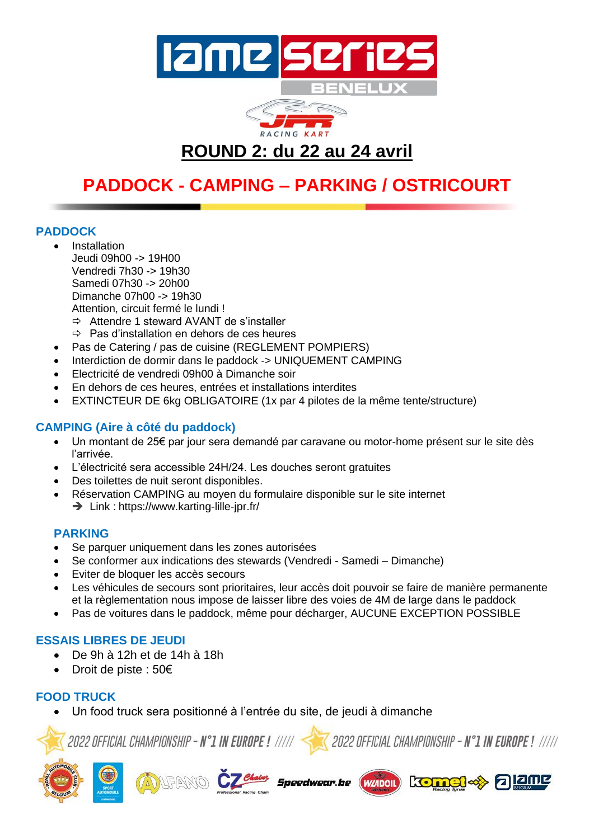



## **ROUND 2: du 22 au 24 avril**

# **PADDOCK - CAMPING – PARKING / OSTRICOURT**

## **PADDOCK**

- **Installation** Jeudi 09h00 -> 19H00 Vendredi 7h30 -> 19h30 Samedi 07h30 -> 20h00 Dimanche 07h00 -> 19h30 Attention, circuit fermé le lundi ! Attendre 1 steward AVANT de s'installer
	- $\Rightarrow$  Pas d'installation en dehors de ces heures
- Pas de Catering / pas de cuisine (REGLEMENT POMPIERS)
- Interdiction de dormir dans le paddock -> UNIQUEMENT CAMPING
- Electricité de vendredi 09h00 à Dimanche soir
- En dehors de ces heures, entrées et installations interdites
- EXTINCTEUR DE 6kg OBLIGATOIRE (1x par 4 pilotes de la même tente/structure)

## **CAMPING (Aire à côté du paddock)**

- Un montant de 25€ par jour sera demandé par caravane ou motor-home présent sur le site dès l'arrivée.
- L'électricité sera accessible 24H/24. Les douches seront gratuites
- Des toilettes de nuit seront disponibles.
- Réservation CAMPING au moyen du formulaire disponible sur le site internet ➔ Link : https://www.karting-lille-jpr.fr/

### **PARKING**

- Se parquer uniquement dans les zones autorisées
- Se conformer aux indications des stewards (Vendredi Samedi Dimanche)
- Eviter de bloquer les accès secours
- Les véhicules de secours sont prioritaires, leur accès doit pouvoir se faire de manière permanente et la règlementation nous impose de laisser libre des voies de 4M de large dans le paddock
- Pas de voitures dans le paddock, même pour décharger, AUCUNE EXCEPTION POSSIBLE

## **ESSAIS LIBRES DE JEUDI**

- De 9h à 12h et de 14h à 18h
- Droit de piste : 50€

## **FOOD TRUCK**

• Un food truck sera positionné à l'entrée du site, de jeudi à dimanche



2022 OFFICIAL CHAMPIONSHIP - N°1 IN EUROPE ! /////



kom

**WADOIL** 

alane